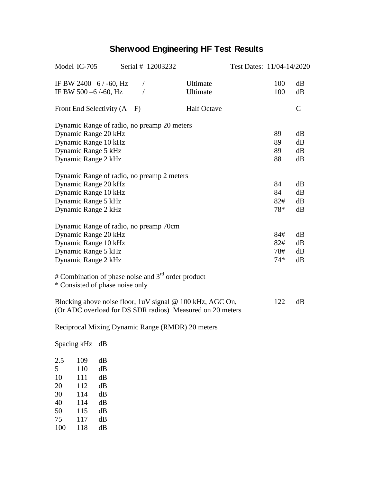## **Sherwood Engineering HF Test Results**

| Model IC-705<br>Serial # 12003232                                                                                      |                      | Test Dates: 11/04-14/2020 |            |               |
|------------------------------------------------------------------------------------------------------------------------|----------------------|---------------------------|------------|---------------|
| IF BW 2400 $-6$ / $-60$ , Hz<br>$\bigg)$<br>IF BW 500 -6/-60, Hz                                                       | Ultimate<br>Ultimate |                           | 100<br>100 | dB<br>dB      |
| Front End Selectivity $(A - F)$                                                                                        | <b>Half Octave</b>   |                           |            | $\mathcal{C}$ |
| Dynamic Range of radio, no preamp 20 meters                                                                            |                      |                           |            |               |
| Dynamic Range 20 kHz                                                                                                   |                      |                           | 89         | dB            |
| Dynamic Range 10 kHz                                                                                                   |                      |                           | 89         | dB            |
| Dynamic Range 5 kHz                                                                                                    |                      |                           | 89         | dB            |
| Dynamic Range 2 kHz                                                                                                    |                      |                           | 88         | dB            |
| Dynamic Range of radio, no preamp 2 meters                                                                             |                      |                           |            |               |
| Dynamic Range 20 kHz                                                                                                   |                      |                           | 84         | dB            |
| Dynamic Range 10 kHz                                                                                                   |                      |                           | 84         | dB            |
| Dynamic Range 5 kHz                                                                                                    |                      |                           | 82#        | dB            |
| Dynamic Range 2 kHz                                                                                                    |                      |                           | 78*        | dB            |
| Dynamic Range of radio, no preamp 70cm                                                                                 |                      |                           |            |               |
| Dynamic Range 20 kHz                                                                                                   |                      |                           | 84#        | dB            |
| Dynamic Range 10 kHz                                                                                                   |                      |                           | 82#        | dB            |
| Dynamic Range 5 kHz                                                                                                    |                      |                           | 78#        | dB            |
| Dynamic Range 2 kHz                                                                                                    |                      |                           | $74*$      | dB            |
| # Combination of phase noise and $3rd$ order product<br>* Consisted of phase noise only                                |                      |                           |            |               |
| Blocking above noise floor, 1uV signal @ 100 kHz, AGC On,<br>(Or ADC overload for DS SDR radios) Measured on 20 meters |                      |                           | 122        | dB            |
| Reciprocal Mixing Dynamic Range (RMDR) 20 meters                                                                       |                      |                           |            |               |

Spacing kHz dB 2.5 109 dB<br>5 110 dB 5 110 dB<br>10 111 dB 10 111 dB<br>20 112 dB 20 112 dB<br>30 114 dB 30 114 dB<br>40 114 dB 40 114 dB<br>50 115 dB 50 115 dB 75 117 dB 118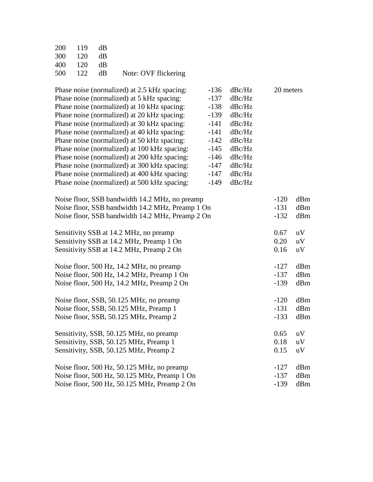| 200 119 dB |                                 |
|------------|---------------------------------|
| 300 120 dB |                                 |
| 400 120 dB |                                 |
|            | 500 122 dB Note: OVF flickering |

| Phase noise (normalized) at 2.5 kHz spacing:     | $-136$ | dBc/Hz | 20 meters |     |
|--------------------------------------------------|--------|--------|-----------|-----|
| Phase noise (normalized) at 5 kHz spacing:       | $-137$ | dBc/Hz |           |     |
| Phase noise (normalized) at 10 kHz spacing:      | $-138$ | dBc/Hz |           |     |
| Phase noise (normalized) at 20 kHz spacing:      | $-139$ | dBc/Hz |           |     |
| Phase noise (normalized) at 30 kHz spacing:      | $-141$ | dBc/Hz |           |     |
| Phase noise (normalized) at 40 kHz spacing:      | $-141$ | dBc/Hz |           |     |
| Phase noise (normalized) at 50 kHz spacing:      | $-142$ | dBc/Hz |           |     |
| Phase noise (normalized) at 100 kHz spacing:     | $-145$ | dBc/Hz |           |     |
| Phase noise (normalized) at 200 kHz spacing:     | $-146$ | dBc/Hz |           |     |
| Phase noise (normalized) at 300 kHz spacing:     | $-147$ | dBc/Hz |           |     |
| Phase noise (normalized) at 400 kHz spacing:     | $-147$ | dBc/Hz |           |     |
| Phase noise (normalized) at 500 kHz spacing:     | $-149$ | dBc/Hz |           |     |
| Noise floor, SSB bandwidth 14.2 MHz, no preamp   |        |        | $-120$    | dBm |
| Noise floor, SSB bandwidth 14.2 MHz, Preamp 1 On |        |        | $-131$    | dBm |
| Noise floor, SSB bandwidth 14.2 MHz, Preamp 2 On |        |        |           | dBm |
| Sensitivity SSB at 14.2 MHz, no preamp           |        |        | 0.67      | uV  |
| Sensitivity SSB at 14.2 MHz, Preamp 1 On         |        |        | 0.20      | uV  |
| Sensitivity SSB at 14.2 MHz, Preamp 2 On         |        |        |           | uV  |
| Noise floor, 500 Hz, 14.2 MHz, no preamp         |        |        | $-127$    | dBm |
| Noise floor, 500 Hz, 14.2 MHz, Preamp 1 On       |        |        | $-137$    | dBm |
| Noise floor, 500 Hz, 14.2 MHz, Preamp 2 On       |        |        | $-139$    | dBm |
| Noise floor, SSB, 50.125 MHz, no preamp          |        |        | $-120$    | dBm |
| Noise floor, SSB, 50.125 MHz, Preamp 1           |        |        | $-131$    | dBm |
| Noise floor, SSB, 50.125 MHz, Preamp 2           |        |        | $-133$    | dBm |
| Sensitivity, SSB, 50.125 MHz, no preamp          |        |        | 0.65      | uV  |
| Sensitivity, SSB, 50.125 MHz, Preamp 1           |        |        | 0.18      | uV  |
| Sensitivity, SSB, 50.125 MHz, Preamp 2           |        |        | 0.15      | uV  |
| Noise floor, 500 Hz, 50.125 MHz, no preamp       |        |        | $-127$    | dBm |
| Noise floor, 500 Hz, 50.125 MHz, Preamp 1 On     |        |        | $-137$    | dBm |
| Noise floor, 500 Hz, 50.125 MHz, Preamp 2 On     |        |        | $-139$    | dBm |
|                                                  |        |        |           |     |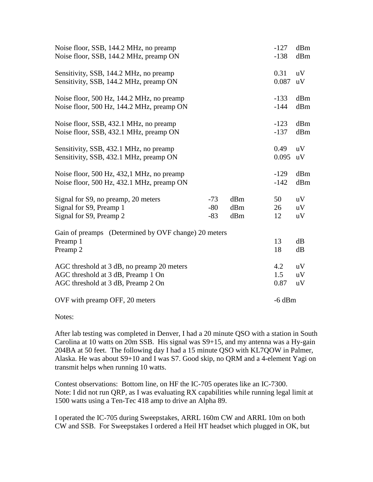| Noise floor, SSB, 144.2 MHz, no preamp<br>Noise floor, SSB, 144.2 MHz, preamp ON                                       |                         |                   | $-127$<br>$-138$   | dBm<br>dBm     |
|------------------------------------------------------------------------------------------------------------------------|-------------------------|-------------------|--------------------|----------------|
| Sensitivity, SSB, 144.2 MHz, no preamp<br>Sensitivity, SSB, 144.2 MHz, preamp ON                                       |                         |                   | 0.31<br>0.087      | uV<br>uV       |
| Noise floor, 500 Hz, 144.2 MHz, no preamp<br>Noise floor, 500 Hz, 144.2 MHz, preamp ON                                 |                         |                   | $-133$<br>$-144$   | dBm<br>dBm     |
| Noise floor, SSB, 432.1 MHz, no preamp<br>Noise floor, SSB, 432.1 MHz, preamp ON                                       |                         |                   | $-123$<br>$-137$   | dBm<br>dBm     |
| Sensitivity, SSB, 432.1 MHz, no preamp<br>Sensitivity, SSB, 432.1 MHz, preamp ON                                       |                         |                   | 0.49<br>0.095      | uV<br>uV       |
| Noise floor, 500 Hz, 432,1 MHz, no preamp<br>Noise floor, 500 Hz, 432.1 MHz, preamp ON                                 |                         |                   | $-129$<br>$-142$   | dBm<br>dBm     |
| Signal for S9, no preamp, 20 meters<br>Signal for S9, Preamp 1<br>Signal for S9, Preamp 2                              | $-73$<br>$-80$<br>$-83$ | dBm<br>dBm<br>dBm | 50<br>26<br>12     | uV<br>uV<br>uV |
| Gain of preamps (Determined by OVF change) 20 meters<br>Preamp 1<br>Preamp 2                                           |                         |                   | 13<br>18           | dB<br>dB       |
| AGC threshold at 3 dB, no preamp 20 meters<br>AGC threshold at 3 dB, Preamp 1 On<br>AGC threshold at 3 dB, Preamp 2 On |                         |                   | 4.2<br>1.5<br>0.87 | uV<br>uV<br>uV |
| OVF with preamp OFF, 20 meters                                                                                         |                         |                   | $-6$ dBm           |                |

Notes:

After lab testing was completed in Denver, I had a 20 minute QSO with a station in South Carolina at 10 watts on 20m SSB. His signal was S9+15, and my antenna was a Hy-gain 204BA at 50 feet. The following day I had a 15 minute QSO with KL7QOW in Palmer, Alaska. He was about S9+10 and I was S7. Good skip, no QRM and a 4-element Yagi on transmit helps when running 10 watts.

Contest observations: Bottom line, on HF the IC-705 operates like an IC-7300. Note: I did not run QRP, as I was evaluating RX capabilities while running legal limit at 1500 watts using a Ten-Tec 418 amp to drive an Alpha 89.

I operated the IC-705 during Sweepstakes, ARRL 160m CW and ARRL 10m on both CW and SSB. For Sweepstakes I ordered a Heil HT headset which plugged in OK, but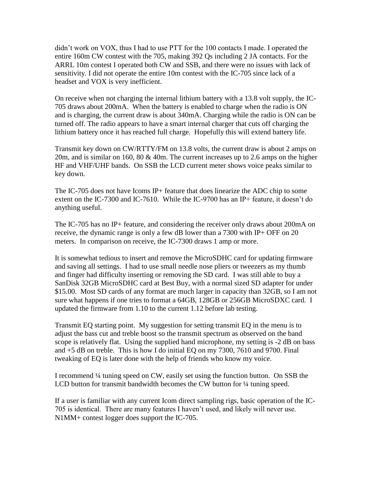didn't work on VOX, thus I had to use PTT for the 100 contacts I made. I operated the entire 160m CW contest with the 705, making 392 Qs including 2 JA contacts. For the ARRL 10m contest I operated both CW and SSB, and there were no issues with lack of sensitivity. I did not operate the entire 10m contest with the IC-705 since lack of a headset and VOX is very inefficient.

On receive when not charging the internal lithium battery with a 13.8 volt supply, the IC-705 draws about 200mA. When the battery is enabled to charge when the radio is ON and is charging, the current draw is about 340mA. Charging while the radio is ON can be turned off. The radio appears to have a smart internal charger that cuts off charging the lithium battery once it has reached full charge. Hopefully this will extend battery life.

Transmit key down on CW/RTTY/FM on 13.8 volts, the current draw is about 2 amps on 20m, and is similar on 160, 80  $&$  40m. The current increases up to 2.6 amps on the higher HF and VHF/UHF bands. On SSB the LCD current meter shows voice peaks similar to key down.

The IC-705 does not have Icoms IP+ feature that does linearize the ADC chip to some extent on the IC-7300 and IC-7610. While the IC-9700 has an IP+ feature, it doesn't do anything useful.

The IC-705 has no IP+ feature, and considering the receiver only draws about 200mA on receive, the dynamic range is only a few dB lower than a 7300 with IP+ OFF on 20 meters. In comparison on receive, the IC-7300 draws 1 amp or more.

It is somewhat tedious to insert and remove the MicroSDHC card for updating firmware and saving all settings. I had to use small needle nose pliers or tweezers as my thumb and finger had difficulty inserting or removing the SD card. I was still able to buy a SanDisk 32GB MicroSDHC card at Best Buy, with a normal sized SD adapter for under \$15.00. Most SD cards of any format are much larger in capacity than 32GB, so I am not sure what happens if one tries to format a 64GB, 128GB or 256GB MicroSDXC card. I updated the firmware from 1.10 to the current 1.12 before lab testing.

Transmit EQ starting point. My suggestion for setting transmit EQ in the menu is to adjust the bass cut and treble boost so the transmit spectrum as observed on the band scope is relatively flat. Using the supplied hand microphone, my setting is -2 dB on bass and +5 dB on treble. This is how I do initial EQ on my 7300, 7610 and 9700. Final tweaking of EQ is later done with the help of friends who know my voice.

I recommend ¼ tuning speed on CW, easily set using the function button. On SSB the LCD button for transmit bandwidth becomes the CW button for  $\frac{1}{4}$  tuning speed.

If a user is familiar with any current Icom direct sampling rigs, basic operation of the IC-705 is identical. There are many features I haven't used, and likely will never use. N1MM+ contest logger does support the IC-705.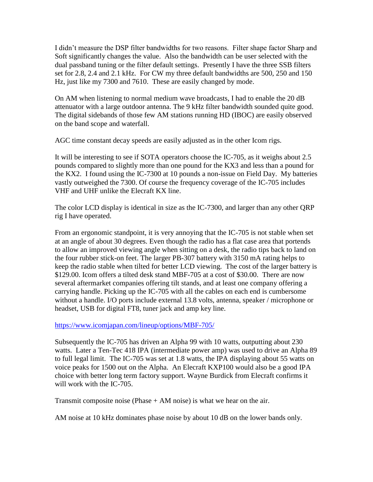I didn't measure the DSP filter bandwidths for two reasons. Filter shape factor Sharp and Soft significantly changes the value. Also the bandwidth can be user selected with the dual passband tuning or the filter default settings. Presently I have the three SSB filters set for 2.8, 2.4 and 2.1 kHz. For CW my three default bandwidths are 500, 250 and 150 Hz, just like my 7300 and 7610. These are easily changed by mode.

On AM when listening to normal medium wave broadcasts, I had to enable the 20 dB attenuator with a large outdoor antenna. The 9 kHz filter bandwidth sounded quite good. The digital sidebands of those few AM stations running HD (IBOC) are easily observed on the band scope and waterfall.

AGC time constant decay speeds are easily adjusted as in the other Icom rigs.

It will be interesting to see if SOTA operators choose the IC-705, as it weighs about 2.5 pounds compared to slightly more than one pound for the KX3 and less than a pound for the KX2. I found using the IC-7300 at 10 pounds a non-issue on Field Day. My batteries vastly outweighed the 7300. Of course the frequency coverage of the IC-705 includes VHF and UHF unlike the Elecraft KX line.

The color LCD display is identical in size as the IC-7300, and larger than any other QRP rig I have operated.

From an ergonomic standpoint, it is very annoying that the IC-705 is not stable when set at an angle of about 30 degrees. Even though the radio has a flat case area that portends to allow an improved viewing angle when sitting on a desk, the radio tips back to land on the four rubber stick-on feet. The larger PB-307 battery with 3150 mA rating helps to keep the radio stable when tilted for better LCD viewing. The cost of the larger battery is \$129.00. Icom offers a tilted desk stand MBF-705 at a cost of \$30.00. There are now several aftermarket companies offering tilt stands, and at least one company offering a carrying handle. Picking up the IC-705 with all the cables on each end is cumbersome without a handle. I/O ports include external 13.8 volts, antenna, speaker / microphone or headset, USB for digital FT8, tuner jack and amp key line.

## <https://www.icomjapan.com/lineup/options/MBF-705/>

Subsequently the IC-705 has driven an Alpha 99 with 10 watts, outputting about 230 watts. Later a Ten-Tec 418 IPA (intermediate power amp) was used to drive an Alpha 89 to full legal limit. The IC-705 was set at 1.8 watts, the IPA displaying about 55 watts on voice peaks for 1500 out on the Alpha. An Elecraft KXP100 would also be a good IPA choice with better long term factory support. Wayne Burdick from Elecraft confirms it will work with the IC-705.

Transmit composite noise (Phase + AM noise) is what we hear on the air.

AM noise at 10 kHz dominates phase noise by about 10 dB on the lower bands only.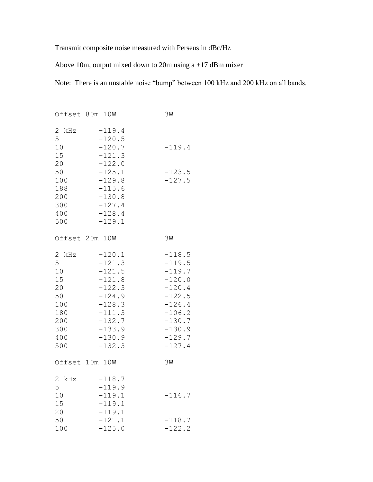Transmit composite noise measured with Perseus in dBc/Hz

Above 10m, output mixed down to 20m using a +17 dBm mixer

Note: There is an unstable noise "bump" between 100 kHz and 200 kHz on all bands.

|                                                                                           | Offset 80m 10W                                                                                                                               | 3M                                                                                                                                           |
|-------------------------------------------------------------------------------------------|----------------------------------------------------------------------------------------------------------------------------------------------|----------------------------------------------------------------------------------------------------------------------------------------------|
| 2 kHz<br>$\overline{5}$<br>10<br>15<br>20<br>50<br>100<br>188<br>200<br>300<br>400<br>500 | $-119.4$<br>$-120.5$<br>$-120.7$<br>$-121.3$<br>$-122.0$<br>$-125.1$<br>$-129.8$<br>$-115.6$<br>$-130.8$<br>$-127.4$<br>$-128.4$<br>$-129.1$ | $-119.4$<br>$-123.5$<br>$-127.5$                                                                                                             |
|                                                                                           | Offset 20m 10W                                                                                                                               | 3M                                                                                                                                           |
| 2 kHz<br>5<br>10<br>15<br>20<br>50<br>100<br>180<br>200<br>300<br>400<br>500              | $-120.1$<br>$-121.3$<br>$-121.5$<br>$-121.8$<br>$-122.3$<br>$-124.9$<br>$-128.3$<br>$-111.3$<br>$-132.7$<br>$-133.9$<br>$-130.9$<br>$-132.3$ | $-118.5$<br>$-119.5$<br>$-119.7$<br>$-120.0$<br>$-120.4$<br>$-122.5$<br>$-126.4$<br>$-106.2$<br>$-130.7$<br>$-130.9$<br>$-129.7$<br>$-127.4$ |
|                                                                                           | Offset 10m 10W                                                                                                                               | 3W                                                                                                                                           |
| 2 kHz<br>5<br>10<br>15<br>20<br>50                                                        | $-118.7$<br>$-119.9$<br>$-119.1$<br>$-119.1$<br>$-119.1$<br>$-121.1$                                                                         | $-116.7$<br>$-118.7$                                                                                                                         |
| 100                                                                                       | $-125.0$                                                                                                                                     | $-122.2$                                                                                                                                     |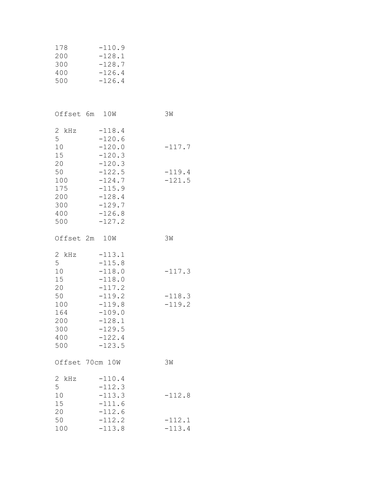| 178 | $-110.9$ |
|-----|----------|
| 200 | $-128.1$ |
| 300 | $-128.7$ |
| 400 | $-126.4$ |
| 500 | $-126.4$ |

|                                                                              | Offset 6m 10W                                                                                                                                | ЗW                               |
|------------------------------------------------------------------------------|----------------------------------------------------------------------------------------------------------------------------------------------|----------------------------------|
| 2 kHz<br>5<br>10<br>15<br>20<br>50<br>100<br>175<br>200<br>300<br>400<br>500 | $-118.4$<br>$-120.6$<br>$-120.0$<br>$-120.3$<br>$-120.3$<br>$-122.5$<br>$-124.7$<br>$-115.9$<br>$-128.4$<br>$-129.7$<br>$-126.8$<br>$-127.2$ | $-117.7$<br>$-119.4$<br>$-121.5$ |
|                                                                              | Offset 2m 10W                                                                                                                                | 3M                               |
| 2 kHz<br>5<br>10<br>15<br>20<br>50<br>100<br>164<br>200<br>300<br>400<br>500 | $-113.1$<br>$-115.8$<br>$-118.0$<br>$-118.0$<br>$-117.2$<br>$-119.2$<br>$-119.8$<br>$-109.0$<br>$-128.1$<br>$-129.5$<br>$-122.4$<br>$-123.5$ | $-117.3$<br>$-118.3$<br>$-119.2$ |
|                                                                              | Offset 70cm 10W                                                                                                                              | 3M                               |
| $\sqrt{2}$<br>kHz<br>5<br>10<br>15<br>20<br>50<br>100                        | $-110.4$<br>$-112.3$<br>$-113.3$<br>$-111.6$<br>$-112.6$<br>$-112.2$<br>$-113.8$                                                             | $-112.8$<br>$-112.1$<br>$-113.4$ |